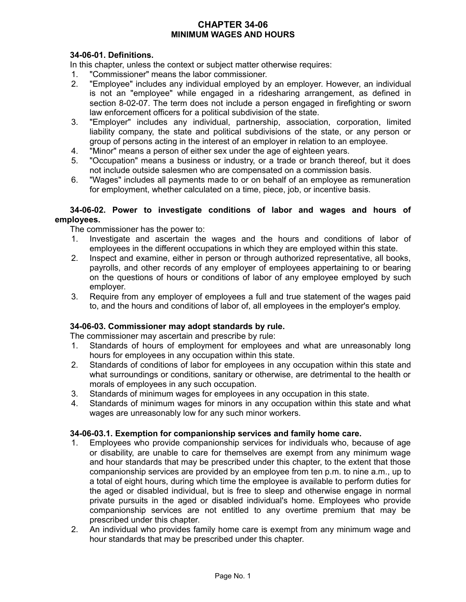# **CHAPTER 34-06 MINIMUM WAGES AND HOURS**

## **34-06-01. Definitions.**

In this chapter, unless the context or subject matter otherwise requires:

- 1. "Commissioner" means the labor commissioner.
- 2. "Employee" includes any individual employed by an employer. However, an individual is not an "employee" while engaged in a ridesharing arrangement, as defined in section 8-02-07. The term does not include a person engaged in firefighting or sworn law enforcement officers for a political subdivision of the state.
- 3. "Employer" includes any individual, partnership, association, corporation, limited liability company, the state and political subdivisions of the state, or any person or group of persons acting in the interest of an employer in relation to an employee.
- 4. "Minor" means a person of either sex under the age of eighteen years.
- 5. "Occupation" means a business or industry, or a trade or branch thereof, but it does not include outside salesmen who are compensated on a commission basis.
- 6. "Wages" includes all payments made to or on behalf of an employee as remuneration for employment, whether calculated on a time, piece, job, or incentive basis.

### **34-06-02. Power to investigate conditions of labor and wages and hours of employees.**

The commissioner has the power to:

- 1. Investigate and ascertain the wages and the hours and conditions of labor of employees in the different occupations in which they are employed within this state.
- 2. Inspect and examine, either in person or through authorized representative, all books, payrolls, and other records of any employer of employees appertaining to or bearing on the questions of hours or conditions of labor of any employee employed by such employer.
- 3. Require from any employer of employees a full and true statement of the wages paid to, and the hours and conditions of labor of, all employees in the employer's employ.

## **34-06-03. Commissioner may adopt standards by rule.**

The commissioner may ascertain and prescribe by rule:

- 1. Standards of hours of employment for employees and what are unreasonably long hours for employees in any occupation within this state.
- 2. Standards of conditions of labor for employees in any occupation within this state and what surroundings or conditions, sanitary or otherwise, are detrimental to the health or morals of employees in any such occupation.
- 3. Standards of minimum wages for employees in any occupation in this state.
- 4. Standards of minimum wages for minors in any occupation within this state and what wages are unreasonably low for any such minor workers.

## **34-06-03.1. Exemption for companionship services and family home care.**

- 1. Employees who provide companionship services for individuals who, because of age or disability, are unable to care for themselves are exempt from any minimum wage and hour standards that may be prescribed under this chapter, to the extent that those companionship services are provided by an employee from ten p.m. to nine a.m., up to a total of eight hours, during which time the employee is available to perform duties for the aged or disabled individual, but is free to sleep and otherwise engage in normal private pursuits in the aged or disabled individual's home. Employees who provide companionship services are not entitled to any overtime premium that may be prescribed under this chapter.
- 2. An individual who provides family home care is exempt from any minimum wage and hour standards that may be prescribed under this chapter.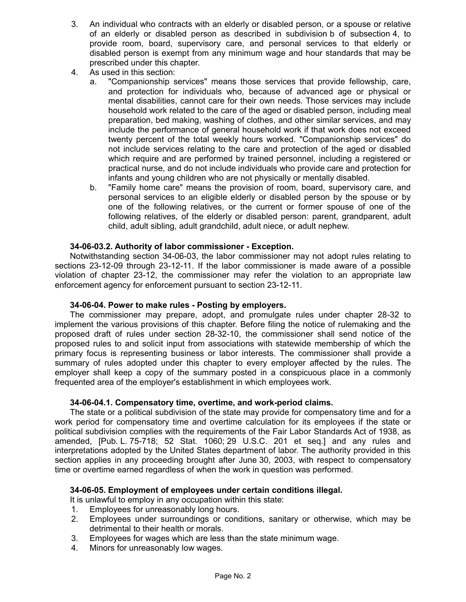- 3. An individual who contracts with an elderly or disabled person, or a spouse or relative of an elderly or disabled person as described in subdivision b of subsection 4, to provide room, board, supervisory care, and personal services to that elderly or disabled person is exempt from any minimum wage and hour standards that may be prescribed under this chapter.
- 4. As used in this section:
	- a. "Companionship services" means those services that provide fellowship, care, and protection for individuals who, because of advanced age or physical or mental disabilities, cannot care for their own needs. Those services may include household work related to the care of the aged or disabled person, including meal preparation, bed making, washing of clothes, and other similar services, and may include the performance of general household work if that work does not exceed twenty percent of the total weekly hours worked. "Companionship services" do not include services relating to the care and protection of the aged or disabled which require and are performed by trained personnel, including a registered or practical nurse, and do not include individuals who provide care and protection for infants and young children who are not physically or mentally disabled.
	- b. "Family home care" means the provision of room, board, supervisory care, and personal services to an eligible elderly or disabled person by the spouse or by one of the following relatives, or the current or former spouse of one of the following relatives, of the elderly or disabled person: parent, grandparent, adult child, adult sibling, adult grandchild, adult niece, or adult nephew.

### **34-06-03.2. Authority of labor commissioner - Exception.**

Notwithstanding section 34-06-03, the labor commissioner may not adopt rules relating to sections 23-12-09 through 23-12-11. If the labor commissioner is made aware of a possible violation of chapter 23-12, the commissioner may refer the violation to an appropriate law enforcement agency for enforcement pursuant to section 23-12-11.

#### **34-06-04. Power to make rules - Posting by employers.**

The commissioner may prepare, adopt, and promulgate rules under chapter 28-32 to implement the various provisions of this chapter. Before filing the notice of rulemaking and the proposed draft of rules under section 28-32-10, the commissioner shall send notice of the proposed rules to and solicit input from associations with statewide membership of which the primary focus is representing business or labor interests. The commissioner shall provide a summary of rules adopted under this chapter to every employer affected by the rules. The employer shall keep a copy of the summary posted in a conspicuous place in a commonly frequented area of the employer's establishment in which employees work.

#### **34-06-04.1. Compensatory time, overtime, and work-period claims.**

The state or a political subdivision of the state may provide for compensatory time and for a work period for compensatory time and overtime calculation for its employees if the state or political subdivision complies with the requirements of the Fair Labor Standards Act of 1938, as amended, [Pub. L. 75-718; 52 Stat. 1060; 29 U.S.C. 201 et seq.] and any rules and interpretations adopted by the United States department of labor. The authority provided in this section applies in any proceeding brought after June 30, 2003, with respect to compensatory time or overtime earned regardless of when the work in question was performed.

#### **34-06-05. Employment of employees under certain conditions illegal.**

It is unlawful to employ in any occupation within this state:

- 1. Employees for unreasonably long hours.
- 2. Employees under surroundings or conditions, sanitary or otherwise, which may be detrimental to their health or morals.
- 3. Employees for wages which are less than the state minimum wage.
- 4. Minors for unreasonably low wages.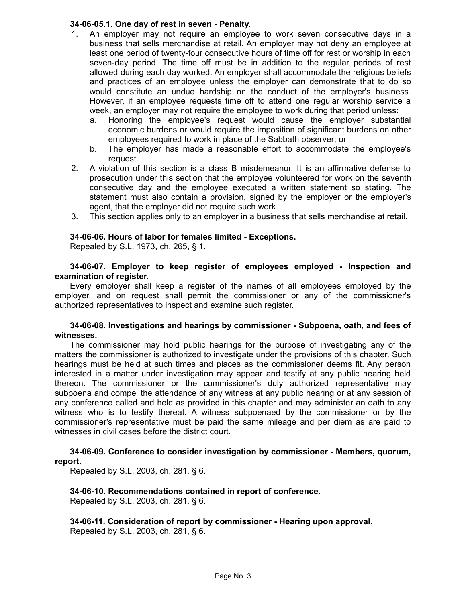#### **34-06-05.1. One day of rest in seven - Penalty.**

- 1. An employer may not require an employee to work seven consecutive days in a business that sells merchandise at retail. An employer may not deny an employee at least one period of twenty-four consecutive hours of time off for rest or worship in each seven-day period. The time off must be in addition to the regular periods of rest allowed during each day worked. An employer shall accommodate the religious beliefs and practices of an employee unless the employer can demonstrate that to do so would constitute an undue hardship on the conduct of the employer's business. However, if an employee requests time off to attend one regular worship service a week, an employer may not require the employee to work during that period unless:
	- a. Honoring the employee's request would cause the employer substantial economic burdens or would require the imposition of significant burdens on other employees required to work in place of the Sabbath observer; or
	- b. The employer has made a reasonable effort to accommodate the employee's request.
- 2. A violation of this section is a class B misdemeanor. It is an affirmative defense to prosecution under this section that the employee volunteered for work on the seventh consecutive day and the employee executed a written statement so stating. The statement must also contain a provision, signed by the employer or the employer's agent, that the employer did not require such work.
- 3. This section applies only to an employer in a business that sells merchandise at retail.

## **34-06-06. Hours of labor for females limited - Exceptions.**

Repealed by S.L. 1973, ch. 265, § 1.

#### **34-06-07. Employer to keep register of employees employed - Inspection and examination of register.**

Every employer shall keep a register of the names of all employees employed by the employer, and on request shall permit the commissioner or any of the commissioner's authorized representatives to inspect and examine such register.

#### **34-06-08. Investigations and hearings by commissioner - Subpoena, oath, and fees of witnesses.**

The commissioner may hold public hearings for the purpose of investigating any of the matters the commissioner is authorized to investigate under the provisions of this chapter. Such hearings must be held at such times and places as the commissioner deems fit. Any person interested in a matter under investigation may appear and testify at any public hearing held thereon. The commissioner or the commissioner's duly authorized representative may subpoena and compel the attendance of any witness at any public hearing or at any session of any conference called and held as provided in this chapter and may administer an oath to any witness who is to testify thereat. A witness subpoenaed by the commissioner or by the commissioner's representative must be paid the same mileage and per diem as are paid to witnesses in civil cases before the district court.

#### **34-06-09. Conference to consider investigation by commissioner - Members, quorum, report.**

Repealed by S.L. 2003, ch. 281, § 6.

#### **34-06-10. Recommendations contained in report of conference.** Repealed by S.L. 2003, ch. 281, § 6.

**34-06-11. Consideration of report by commissioner - Hearing upon approval.** Repealed by S.L. 2003, ch. 281, § 6.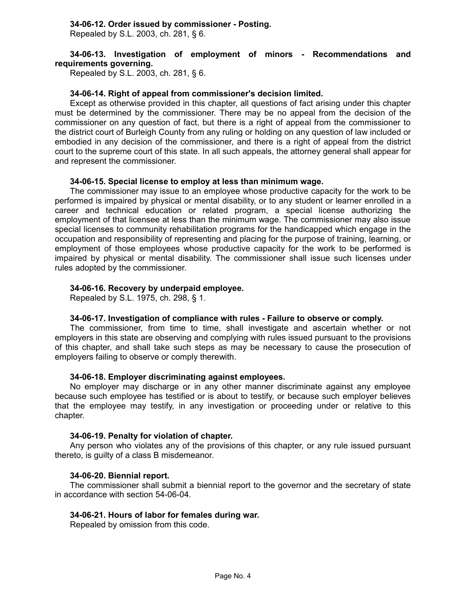### **34-06-12. Order issued by commissioner - Posting.**

Repealed by S.L. 2003, ch. 281, § 6.

### **34-06-13. Investigation of employment of minors - Recommendations and requirements governing.**

Repealed by S.L. 2003, ch. 281, § 6.

### **34-06-14. Right of appeal from commissioner's decision limited.**

Except as otherwise provided in this chapter, all questions of fact arising under this chapter must be determined by the commissioner. There may be no appeal from the decision of the commissioner on any question of fact, but there is a right of appeal from the commissioner to the district court of Burleigh County from any ruling or holding on any question of law included or embodied in any decision of the commissioner, and there is a right of appeal from the district court to the supreme court of this state. In all such appeals, the attorney general shall appear for and represent the commissioner.

#### **34-06-15. Special license to employ at less than minimum wage.**

The commissioner may issue to an employee whose productive capacity for the work to be performed is impaired by physical or mental disability, or to any student or learner enrolled in a career and technical education or related program, a special license authorizing the employment of that licensee at less than the minimum wage. The commissioner may also issue special licenses to community rehabilitation programs for the handicapped which engage in the occupation and responsibility of representing and placing for the purpose of training, learning, or employment of those employees whose productive capacity for the work to be performed is impaired by physical or mental disability. The commissioner shall issue such licenses under rules adopted by the commissioner.

### **34-06-16. Recovery by underpaid employee.**

Repealed by S.L. 1975, ch. 298, § 1.

#### **34-06-17. Investigation of compliance with rules - Failure to observe or comply.**

The commissioner, from time to time, shall investigate and ascertain whether or not employers in this state are observing and complying with rules issued pursuant to the provisions of this chapter, and shall take such steps as may be necessary to cause the prosecution of employers failing to observe or comply therewith.

#### **34-06-18. Employer discriminating against employees.**

No employer may discharge or in any other manner discriminate against any employee because such employee has testified or is about to testify, or because such employer believes that the employee may testify, in any investigation or proceeding under or relative to this chapter.

#### **34-06-19. Penalty for violation of chapter.**

Any person who violates any of the provisions of this chapter, or any rule issued pursuant thereto, is guilty of a class B misdemeanor.

#### **34-06-20. Biennial report.**

The commissioner shall submit a biennial report to the governor and the secretary of state in accordance with section 54-06-04.

#### **34-06-21. Hours of labor for females during war.**

Repealed by omission from this code.